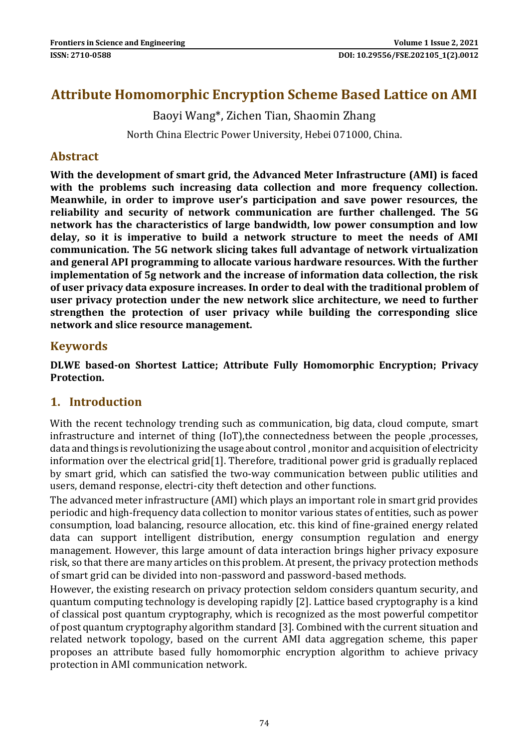# **Attribute Homomorphic Encryption Scheme Based Lattice on AMI**

Baoyi Wang\*, Zichen Tian, Shaomin Zhang

North China Electric Power University, Hebei 071000, China.

## **Abstract**

**With the development of smart grid, the Advanced Meter Infrastructure (AMI) is faced with the problems such increasing data collection and more frequency collection. Meanwhile, in order to improve user's participation and save power resources, the reliability and security of network communication are further challenged. The 5G network has the characteristics of large bandwidth, low power consumption and low delay, so it is imperative to build a network structure to meet the needs of AMI communication. The 5G network slicing takes full advantage of network virtualization and general API programming to allocate various hardware resources. With the further implementation of 5g network and the increase of information data collection, the risk of user privacy data exposure increases. In order to deal with the traditional problem of user privacy protection under the new network slice architecture, we need to further strengthen the protection of user privacy while building the corresponding slice network and slice resource management.**

## **Keywords**

**DLWE based-on Shortest Lattice; Attribute Fully Homomorphic Encryption; Privacy Protection.**

## **1. Introduction**

With the recent technology trending such as communication, big data, cloud compute, smart infrastructure and internet of thing (IoT),the connectedness between the people ,processes, data and things is revolutionizing the usage about control , monitor and acquisition of electricity information over the electrical grid[1]. Therefore, traditional power grid is gradually replaced by smart grid, which can satisfied the two-way communication between public utilities and users, demand response, electri-city theft detection and other functions.

The advanced meter infrastructure (AMI) which plays an important role in smart grid provides periodic and high-frequency data collection to monitor various states of entities, such as power consumption, load balancing, resource allocation, etc. this kind of fine-grained energy related data can support intelligent distribution, energy consumption regulation and energy management. However, this large amount of data interaction brings higher privacy exposure risk, so that there are many articles on this problem. At present, the privacy protection methods of smart grid can be divided into non-password and password-based methods.

However, the existing research on privacy protection seldom considers quantum security, and quantum computing technology is developing rapidly [2]. Lattice based cryptography is a kind of classical post quantum cryptography, which is recognized as the most powerful competitor of post quantum cryptography algorithm standard [3]. Combined with the current situation and related network topology, based on the current AMI data aggregation scheme, this paper proposes an attribute based fully homomorphic encryption algorithm to achieve privacy protection in AMI communication network.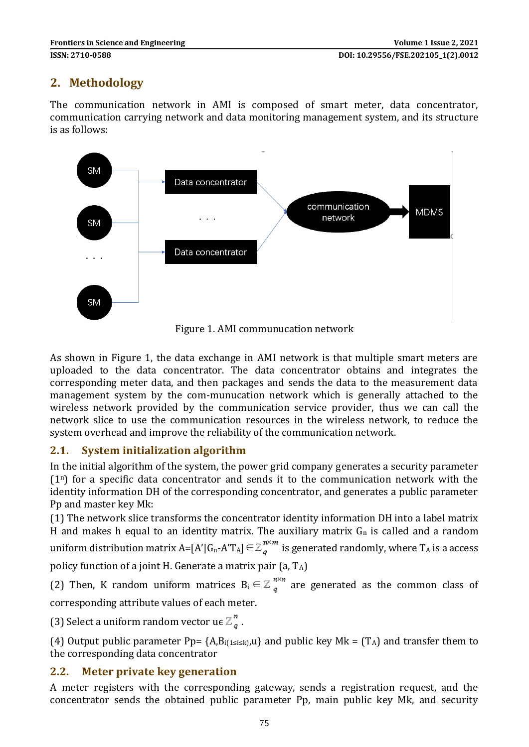# **2. Methodology**

The communication network in AMI is composed of smart meter, data concentrator, communication carrying network and data monitoring management system, and its structure is as follows:



As shown in Figure 1, the data exchange in AMI network is that multiple smart meters are uploaded to the data concentrator. The data concentrator obtains and integrates the corresponding meter data, and then packages and sends the data to the measurement data management system by the com-munucation network which is generally attached to the wireless network provided by the communication service provider, thus we can call the network slice to use the communication resources in the wireless network, to reduce the system overhead and improve the reliability of the communication network.

### **2.1. System initialization algorithm**

In the initial algorithm of the system, the power grid company generates a security parameter  $(1^n)$  for a specific data concentrator and sends it to the communication network with the identity information DH of the corresponding concentrator, and generates a public parameter Pp and master key Mk:

(1) The network slice transforms the concentrator identity information DH into a label matrix H and makes h equal to an identity matrix. The auxiliary matrix  $G_n$  is called and a random uniform distribution matrix A=[A'|G<sub>n</sub>-A'T<sub>A</sub>] $\in \mathbb{Z}_q^{n \times m}$  is generated randomly, where T<sub>A</sub> is a access policy function of a joint H. Generate a matrix pair  $(a, T_A)$ 

(2) Then, K random uniform matrices  $B_i \in \mathbb{Z}_q^{n \times n}$  are generated as the common class of

corresponding attribute values of each meter.

(3) Select a uniform random vector  $\mathfrak{u}\in \mathbb{Z}_{a}^{n}$ .

(4) Output public parameter Pp=  ${A, B_{i(1\le i\le k)}, u}$  and public key Mk =  $(T_A)$  and transfer them to the corresponding data concentrator

### **2.2. Meter private key generation**

A meter registers with the corresponding gateway, sends a registration request, and the concentrator sends the obtained public parameter Pp, main public key Mk, and security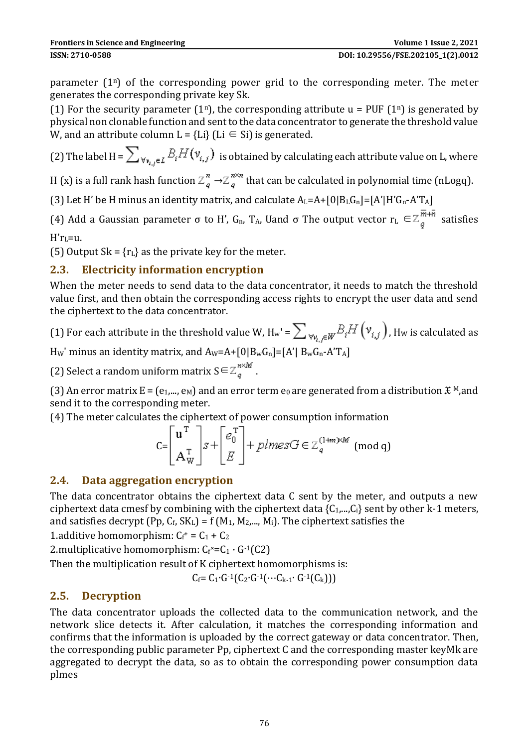parameter  $(1^n)$  of the corresponding power grid to the corresponding meter. The meter generates the corresponding private key Sk.

(1) For the security parameter (1<sup>n</sup>), the corresponding attribute u = PUF (1<sup>n</sup>) is generated by physical non clonable function and sent to the data concentrator to generate the threshold value W, and an attribute column  $L = {Li}$  (Li  $\in$  Si) is generated.

(2) The label H =  $\sum_{\forall v_i, \epsilon L} B_i H(v_{i,j})$  is obtained by calculating each attribute value on L, where

H (x) is a full rank hash function  $\mathbb{Z}_q^n \to \mathbb{Z}_q^{n \times n}$  that can be calculated in polynomial time (nLogq).

(3) Let H' be H minus an identity matrix, and calculate  $A_L = A + [0|B_LG_n] = [A'|H'G_n - A'T_A]$ 

(4) Add a Gaussian parameter σ to H', G<sub>n</sub>, T<sub>A</sub>, Uand σ The output vector  $r_L \in \mathbb{Z}_q^{\frac{1}{m}+\bar{n}}$  satisfies

 $H'r<sub>L</sub>=u.$ 

(5) Output Sk =  ${r<sub>L</sub>}$  as the private key for the meter.

### **2.3. Electricity information encryption**

When the meter needs to send data to the data concentrator, it needs to match the threshold value first, and then obtain the corresponding access rights to encrypt the user data and send the ciphertext to the data concentrator.

# (1) For each attribute in the threshold value W,  $H_w' = \sum_{w_i} \sum_{j \in W} B_j H(v_{i,j})$ , Hw is calculated as

Hw' minus an identity matrix, and  $A_w=A+[0|B_wG_n]=[A'|B_wG_n-A'T_A]$ 

(2) Select a random uniform matrix  $S \in \mathbb{Z}_q^{n \times M}$ .

(3) An error matrix  $E = (e_1,..., e_M)$  and an error term  $e_0$  are generated from a distribution  $\mathfrak{X}^M$ , and send it to the corresponding meter.

(4) The meter calculates the ciphertext of power consumption information

$$
\mathsf{C} = \left[ \begin{array}{c} \mathbf{u}^{\mathrm{T}} \\ \mathbf{A}_{\mathrm{W}}^{\mathrm{T}} \end{array} \right] s + \left[ \begin{array}{c} e_0^{\mathrm{T}} \\ E \end{array} \right] + \text{plmes } G \in \mathbb{Z}_q^{(1+m)\times M} \pmod{q}
$$

### **2.4. Data aggregation encryption**

The data concentrator obtains the ciphertext data C sent by the meter, and outputs a new ciphertext data cmesf by combining with the ciphertext data  ${C_1,...,C_i}$  sent by other k-1 meters, and satisfies decrypt (Pp,  $C_f$ ,  $SK_L$ ) = f (M<sub>1</sub>, M<sub>2</sub>,..., M<sub>i</sub>). The ciphertext satisfies the

1.additive homomorphism:  $C_f$ <sup>+</sup> =  $C_1$  +  $C_2$ 

2. multiplicative homomorphism:  $C_f$ \*= $C_1 \cdot G^{-1}(C_2)$ 

Then the multiplication result of K ciphertext homomorphisms is:

 $C_f = C_1 \cdot G^{-1}(C_2 \cdot G^{-1}(\cdots C_{k-1} \cdot G^{-1}(C_k)))$ 

### **2.5. Decryption**

The data concentrator uploads the collected data to the communication network, and the network slice detects it. After calculation, it matches the corresponding information and confirms that the information is uploaded by the correct gateway or data concentrator. Then, the corresponding public parameter Pp, ciphertext C and the corresponding master keyMk are aggregated to decrypt the data, so as to obtain the corresponding power consumption data plmes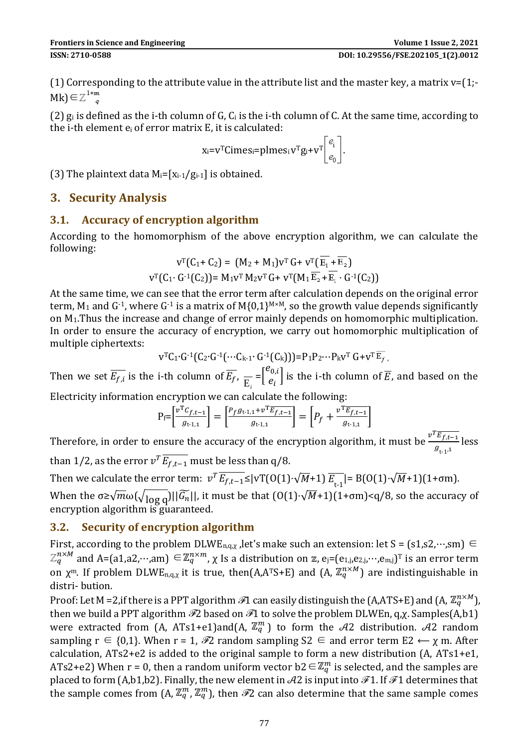(1) Corresponding to the attribute value in the attribute list and the master key, a matrix  $v=[1,-1]$  $Mk$ )∈ $\mathbb{Z}^{\frac{1+m}{q}}$ 

(2)  $g_i$  is defined as the i-th column of G,  $C_i$  is the i-th column of C. At the same time, according to the i-th element e<sup>i</sup> of error matrix E, it is calculated:

$$
x_i = v^T Cimes_i = plmes_i v^T g_i + v^T \begin{bmatrix} e_i \\ e_0 \end{bmatrix}.
$$

(3) The plaintext data  $M_i = [x_{i-1}/g_{i-1}]$  is obtained.

### **3. Security Analysis**

### **3.1. Accuracy of encryption algorithm**

According to the homomorphism of the above encryption algorithm, we can calculate the following:

$$
v^{T}(C_{1}+ C_{2}) = (M_{2} + M_{1})v^{T} G + v^{T}(\overline{E_{1}} + \overline{E_{2}})
$$
  

$$
v^{T}(C_{1} \cdot G^{T}(C_{2})) = M_{1}v^{T} M_{2}v^{T} G + v^{T}(M_{1} \overline{E_{2}} + \overline{E_{1}} \cdot G^{T}(C_{2}))
$$

At the same time, we can see that the error term after calculation depends on the original error term,  $M_1$  and  $G^{-1}$ , where  $G^{-1}$  is a matrix of  $M_1(0,1)^{M \times M}$ , so the growth value depends significantly on M1.Thus the increase and change of error mainly depends on homomorphic multiplication. In order to ensure the accuracy of encryption, we carry out homomorphic multiplication of multiple ciphertexts:

$$
v^{T}C_{1} \cdot G \cdot ^{1}[(C_{2} \cdot G \cdot ^{1}(\cdots C_{k-1} \cdot G \cdot ^{1}(C_{k}))) = P_{1}P_{2} \cdots P_{k}v^{T} G + v^{T} \overline{E_{f}}],
$$

Then we set  $E_{f,i}$  is the i-th column of  $E_f$ ,  $\frac{}{\rm E}$  $=\begin{bmatrix} e_{0,i} \\ e_i \end{bmatrix}$  $\left[e_i\right]$  is the i-th column of  $\overline{E}$ , and based on the

Electricity information encryption we can calculate the following:

$$
P_f = \left[\frac{v^T C_{f,t-1}}{g_{t\cdot 1,1}}\right] = \left[\frac{P_f g_{t\cdot 1,1} + v^T \overline{E_{f,t-1}}}{g_{t\cdot 1,1}}\right] = \left[P_f + \frac{v^T \overline{E_{f,t-1}}}{g_{t\cdot 1,1}}\right]
$$

Therefore, in order to ensure the accuracy of the encryption algorithm, it must be  $\frac{v^T \overline{E_{f,t-1}}}{z}$  $\frac{L_{f,t-1}}{g_{t-1,1}}$  less than 1/2, as the error  $v^T \overline{E_{f,t-1}}$  must be less than q/8.

Then we calculate the error term:  $v^T \overline{E_{f,t-1}} \le |vT(0(1) \cdot \sqrt{M}+1) \overline{E_{t-1}}| = B(0(1) \cdot \sqrt{M}+1)(1+\sigma m)$ . When the  $\sigma \ge \sqrt{m}\omega(\sqrt{\log q})||\widetilde{G_n}||$ , it must be that  $(0(1)\sqrt{M}+1)(1+\sigma m) < q/8$ , so the accuracy of encryption algorithm is guaranteed.

#### **3.2. Security of encryption algorithm**

First, according to the problem DLWE<sub>n,q, $\chi$ </sub>, let's make such an extension: let S = (s1,s2,…,sm)  $\in$  $\mathbb{Z}_q^{n\times M}$  and A=(a1,a2,…,am)  $\in\mathbb{Z}_q^{n\times m}$ ,  $\chi$  Is a distribution on  $\mathbb{Z}$ ,  $\mathrm{e_j}$ =(e<sub>1,j,</sub>e<sub>2,j</sub>,…,e<sub>m,j</sub>) $^\mathrm{T}$  is an error term on  $\chi^m$ . If problem DLWE<sub>n,q,x</sub> it is true, then(A,A<sup>T</sup>S+E) and (A,  $\mathbb{Z}_q^{n\times M}$ ) are indistinguishable in distri- bution.

Proof: Let M =2, if there is a PPT algorithm  $\mathscr{T}1$  can easily distinguish the (A,ATS+E) and (A,  $\mathbb{Z}_q^{n \times M}$ ), then we build a PPT algorithm  $\mathcal{F}2$  based on  $\mathcal{F}1$  to solve the problem DLWEn, q, $\chi$ . Samples(A,b1) were extracted from (A, ATs1+e1)and(A,  $\mathbb{Z}_q^m$ ) to form the A2 distribution. A2 random sampling  $r \in \{0,1\}$ . When  $r = 1$ ,  $\Re$  random sampling  $S2 \in \text{and error term } E2 \leftarrow \chi \text{ m}$ . After calculation, ATs2+e2 is added to the original sample to form a new distribution (A, ATs1+e1, ATs2+e2) When r = 0, then a random uniform vector b2  $\in \mathbb{Z}_q^m$  is selected, and the samples are placed to form (A,b1,b2). Finally, the new element in  $A2$  is input into  $\mathscr{F}1$ . If  $\mathscr{F}1$  determines that the sample comes from  $(A, \mathbb{Z}_q^m, \mathbb{Z}_q^m)$ , then  $\mathscr{F}2$  can also determine that the same sample comes